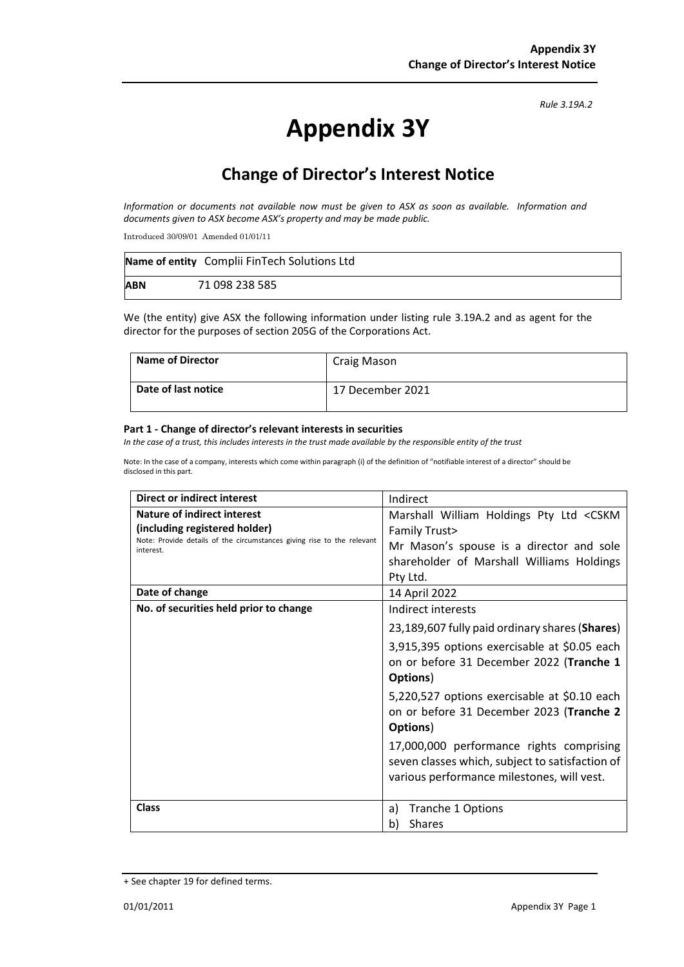*Rule 3.19A.2*

# **Appendix 3Y**

## **Change of Director's Interest Notice**

*Information or documents not available now must be given to ASX as soon as available. Information and documents given to ASX become ASX's property and may be made public.*

Introduced 30/09/01 Amended 01/01/11

|            | Name of entity Complii FinTech Solutions Ltd |
|------------|----------------------------------------------|
| <b>ABN</b> | 71 098 238 585                               |

We (the entity) give ASX the following information under listing rule 3.19A.2 and as agent for the director for the purposes of section 205G of the Corporations Act.

| <b>Name of Director</b> | <b>Craig Mason</b> |
|-------------------------|--------------------|
| Date of last notice     | 17 December 2021   |

#### **Part 1 - Change of director's relevant interests in securities**

*In the case of a trust, this includes interests in the trust made available by the responsible entity of the trust*

Note: In the case of a company, interests which come within paragraph (i) of the definition of "notifiable interest of a director" should be disclosed in this part.

| <b>Direct or indirect interest</b>                                                  | Indirect                                                                                                                                  |  |
|-------------------------------------------------------------------------------------|-------------------------------------------------------------------------------------------------------------------------------------------|--|
| Nature of indirect interest                                                         | Marshall William Holdings Pty Ltd <cskm< th=""></cskm<>                                                                                   |  |
| (including registered holder)                                                       | <b>Family Trust&gt;</b>                                                                                                                   |  |
| Note: Provide details of the circumstances giving rise to the relevant<br>interest. | Mr Mason's spouse is a director and sole                                                                                                  |  |
|                                                                                     | shareholder of Marshall Williams Holdings                                                                                                 |  |
|                                                                                     | Pty Ltd.                                                                                                                                  |  |
| Date of change                                                                      | 14 April 2022                                                                                                                             |  |
| No. of securities held prior to change                                              | Indirect interests                                                                                                                        |  |
|                                                                                     | 23,189,607 fully paid ordinary shares (Shares)                                                                                            |  |
|                                                                                     | 3,915,395 options exercisable at \$0.05 each<br>on or before 31 December 2022 (Tranche 1<br>Options)                                      |  |
|                                                                                     | 5,220,527 options exercisable at \$0.10 each<br>on or before 31 December 2023 (Tranche 2<br>Options)                                      |  |
|                                                                                     | 17,000,000 performance rights comprising<br>seven classes which, subject to satisfaction of<br>various performance milestones, will vest. |  |
| <b>Class</b>                                                                        | Tranche 1 Options<br>a)                                                                                                                   |  |
|                                                                                     | <b>Shares</b><br>b)                                                                                                                       |  |

<sup>+</sup> See chapter 19 for defined terms.